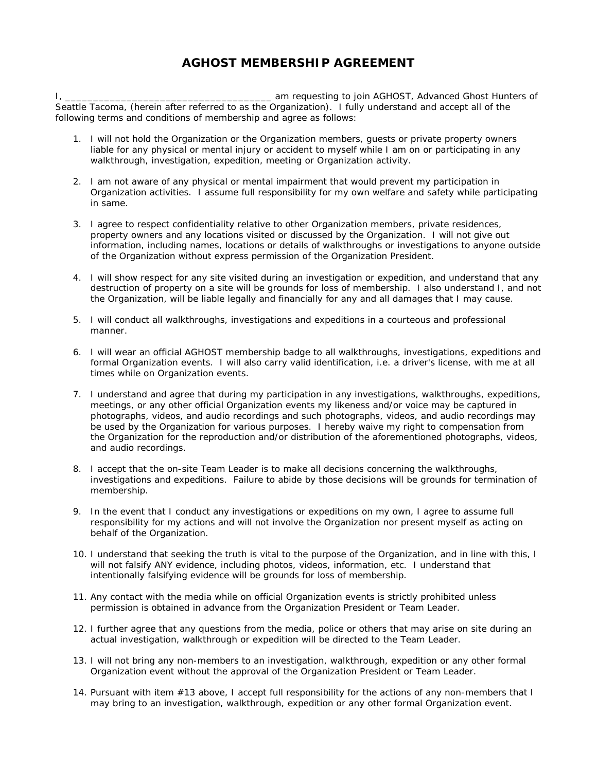## **AGHOST MEMBERSHIP AGREEMENT**

I, \_\_\_\_\_\_\_\_\_\_\_\_\_\_\_\_\_\_\_\_\_\_\_\_\_\_\_\_\_\_\_\_\_\_\_\_\_ am requesting to join AGHOST, Advanced Ghost Hunters of Seattle Tacoma, (herein after referred to as the Organization). I fully understand and accept all of the following terms and conditions of membership and agree as follows:

- 1. I will not hold the Organization or the Organization members, guests or private property owners liable for any physical or mental injury or accident to myself while I am on or participating in any walkthrough, investigation, expedition, meeting or Organization activity.
- 2. I am not aware of any physical or mental impairment that would prevent my participation in Organization activities. I assume full responsibility for my own welfare and safety while participating in same.
- 3. I agree to respect confidentiality relative to other Organization members, private residences, property owners and any locations visited or discussed by the Organization. I will not give out information, including names, locations or details of walkthroughs or investigations to anyone outside of the Organization without express permission of the Organization President.
- 4. I will show respect for any site visited during an investigation or expedition, and understand that any destruction of property on a site will be grounds for loss of membership. I also understand I, and not the Organization, will be liable legally and financially for any and all damages that I may cause.
- 5. I will conduct all walkthroughs, investigations and expeditions in a courteous and professional manner.
- 6. I will wear an official AGHOST membership badge to all walkthroughs, investigations, expeditions and formal Organization events. I will also carry valid identification, i.e. a driver's license, with me at all times while on Organization events.
- 7. I understand and agree that during my participation in any investigations, walkthroughs, expeditions, meetings, or any other official Organization events my likeness and/or voice may be captured in photographs, videos, and audio recordings and such photographs, videos, and audio recordings may be used by the Organization for various purposes. I hereby waive my right to compensation from the Organization for the reproduction and/or distribution of the aforementioned photographs, videos, and audio recordings.
- 8. I accept that the on-site Team Leader is to make all decisions concerning the walkthroughs, investigations and expeditions. Failure to abide by those decisions will be grounds for termination of membership.
- 9. In the event that I conduct any investigations or expeditions on my own, I agree to assume full responsibility for my actions and will not involve the Organization nor present myself as acting on behalf of the Organization.
- 10. I understand that seeking the truth is vital to the purpose of the Organization, and in line with this, I will not falsify ANY evidence, including photos, videos, information, etc. I understand that intentionally falsifying evidence will be grounds for loss of membership.
- 11. Any contact with the media while on official Organization events is strictly prohibited unless permission is obtained in advance from the Organization President or Team Leader.
- 12. I further agree that any questions from the media, police or others that may arise on site during an actual investigation, walkthrough or expedition will be directed to the Team Leader.
- 13. I will not bring any non-members to an investigation, walkthrough, expedition or any other formal Organization event without the approval of the Organization President or Team Leader.
- 14. Pursuant with item #13 above, I accept full responsibility for the actions of any non-members that I may bring to an investigation, walkthrough, expedition or any other formal Organization event.